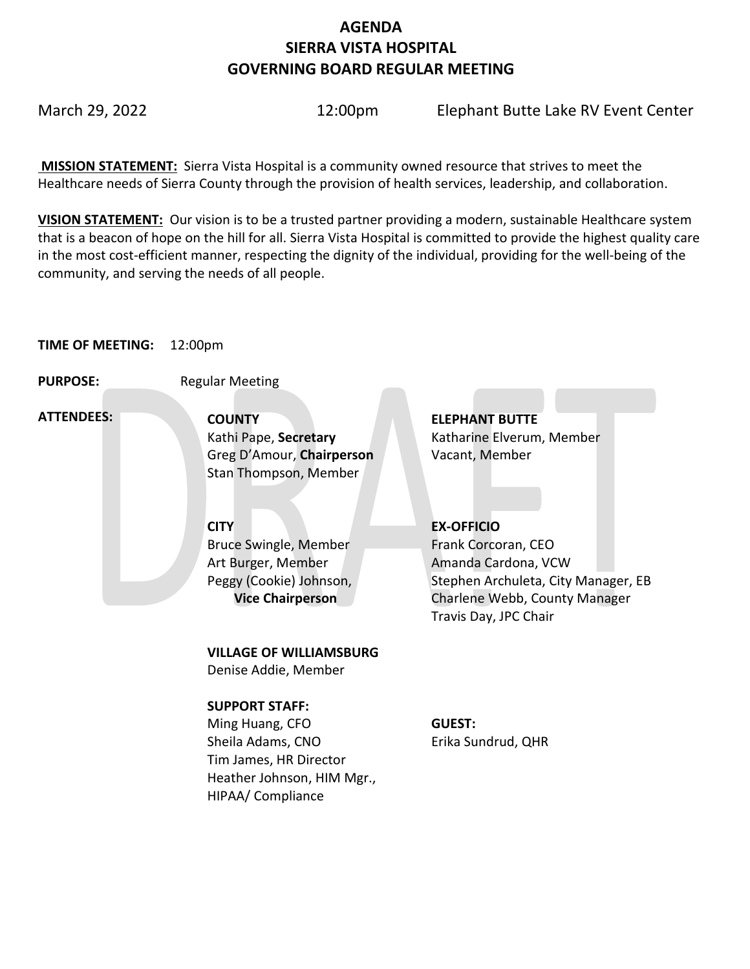# **AGENDA SIERRA VISTA HOSPITAL GOVERNING BOARD REGULAR MEETING**

March 29, 2022 12:00pm Elephant Butte Lake RV Event Center

**MISSION STATEMENT:** Sierra Vista Hospital is a community owned resource that strives to meet the Healthcare needs of Sierra County through the provision of health services, leadership, and collaboration.

**VISION STATEMENT:** Our vision is to be a trusted partner providing a modern, sustainable Healthcare system that is a beacon of hope on the hill for all. Sierra Vista Hospital is committed to provide the highest quality care in the most cost-efficient manner, respecting the dignity of the individual, providing for the well-being of the community, and serving the needs of all people.

## **TIME OF MEETING:** 12:00pm

**PURPOSE:** Regular Meeting

 **ATTENDEES:**

**COUNTY ELEPHANT BUTTE**  Greg D'Amour, **Chairperson** Vacant, Member Stan Thompson, Member

Bruce Swingle, Member Art Burger, Member Peggy (Cookie) Johnson,  **Vice Chairperson**

**VILLAGE OF WILLIAMSBURG**

Denise Addie, Member

## **SUPPORT STAFF:**

Ming Huang, CFO Sheila Adams, CNO Tim James, HR Director Heather Johnson, HIM Mgr., HIPAA/ Compliance

Kathi Pape, **Secretary Katharine Elverum, Member** 

# **CITY EX-OFFICIO**

Frank Corcoran, CEO Amanda Cardona, VCW Stephen Archuleta, City Manager, EB Charlene Webb, County Manager Travis Day, JPC Chair

## **GUEST:** Erika Sundrud, QHR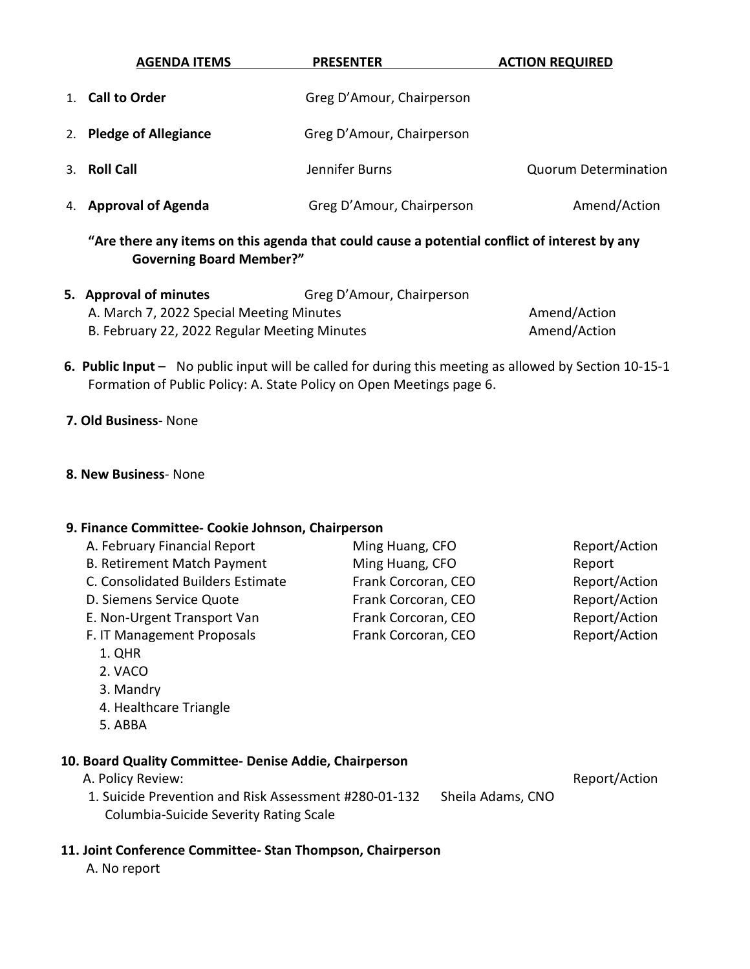| <b>AGENDA ITEMS</b>     | <b>PRESENTER</b>          | <b>ACTION REQUIRED</b>      |
|-------------------------|---------------------------|-----------------------------|
| 1. Call to Order        | Greg D'Amour, Chairperson |                             |
| 2. Pledge of Allegiance | Greg D'Amour, Chairperson |                             |
| 3. Roll Call            | Jennifer Burns            | <b>Quorum Determination</b> |
| 4. Approval of Agenda   | Greg D'Amour, Chairperson | Amend/Action                |

**"Are there any items on this agenda that could cause a potential conflict of interest by any Governing Board Member?"**

| 5. Approval of minutes                       | Greg D'Amour, Chairperson |              |
|----------------------------------------------|---------------------------|--------------|
| A. March 7, 2022 Special Meeting Minutes     |                           | Amend/Action |
| B. February 22, 2022 Regular Meeting Minutes |                           | Amend/Action |

 **6. Public Input** – No public input will be called for during this meeting as allowed by Section 10-15-1 Formation of Public Policy: A. State Policy on Open Meetings page 6.

#### **7. Old Business**- None

#### **8. New Business**- None

#### **9. Finance Committee- Cookie Johnson, Chairperson**

| A. February Financial Report       | Ming Huang, CFO     | Report/Action |
|------------------------------------|---------------------|---------------|
| <b>B. Retirement Match Payment</b> | Ming Huang, CFO     | Report        |
| C. Consolidated Builders Estimate  | Frank Corcoran, CEO | Report/Action |
| D. Siemens Service Quote           | Frank Corcoran, CEO | Report/Action |
| E. Non-Urgent Transport Van        | Frank Corcoran, CEO | Report/Action |
| F. IT Management Proposals         | Frank Corcoran, CEO | Report/Action |
| 1. QHR                             |                     |               |
| 2. VACO                            |                     |               |

- 3. Mandry
- 4. Healthcare Triangle
- 5. ABBA

#### **10. Board Quality Committee- Denise Addie, Chairperson**

A. Policy Review:  $\blacksquare$ 

1. Suicide Prevention and Risk Assessment #280-01-132 Sheila Adams, CNO Columbia-Suicide Severity Rating Scale

# **11. Joint Conference Committee- Stan Thompson, Chairperson**

A. No report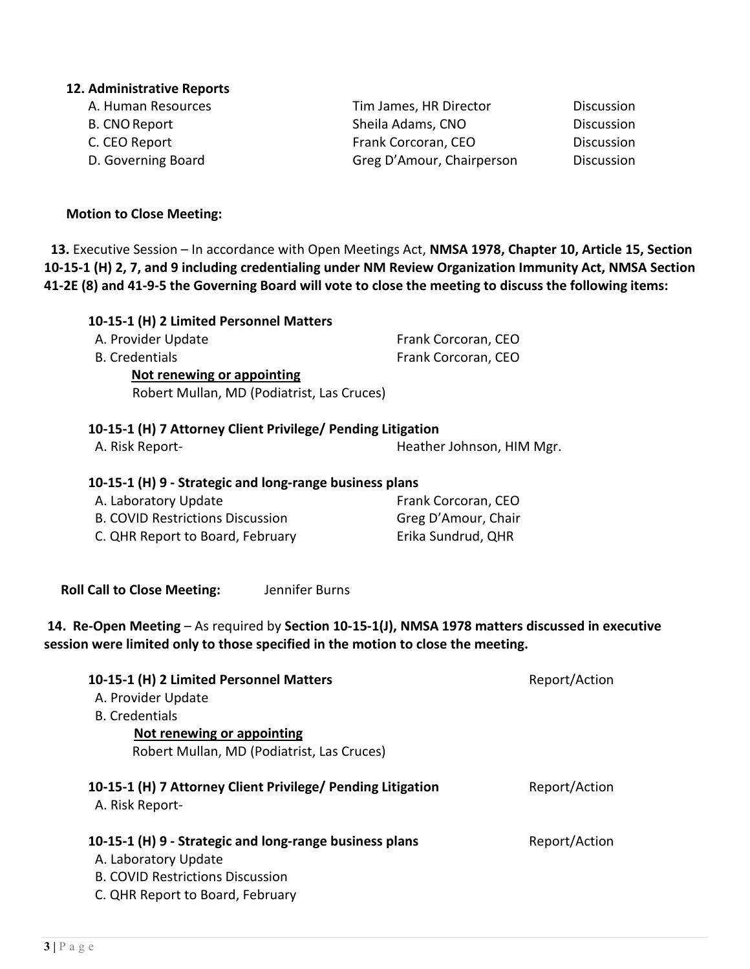# **3 |** Page

## **12. Administrative Reports**

| A. Human Resources | Tim James, HR Director    | <b>Discussion</b> |
|--------------------|---------------------------|-------------------|
| B. CNO Report      | Sheila Adams, CNO         | Discussion        |
| C. CEO Report      | Frank Corcoran, CEO       | <b>Discussion</b> |
| D. Governing Board | Greg D'Amour, Chairperson | Discussion        |
|                    |                           |                   |

## **Motion to Close Meeting:**

 **13.** Executive Session – In accordance with Open Meetings Act, **NMSA 1978, Chapter 10, Article 15, Section 10-15-1 (H) 2, 7, and 9 including credentialing under NM Review Organization Immunity Act, NMSA Section 41-2E (8) and 41-9-5 the Governing Board will vote to close the meeting to discuss the following items:** 

Heather Johnson, HIM Mgr.

| 10-15-1 (H) 2 Limited Personnel Matters    |                     |
|--------------------------------------------|---------------------|
| A. Provider Update                         | Frank Corcoran, CEO |
| <b>B.</b> Credentials                      | Frank Corcoran, CEO |
| Not renewing or appointing                 |                     |
| Robert Mullan, MD (Podiatrist, Las Cruces) |                     |
|                                            |                     |

# **10-15-1 (H) 7 Attorney Client Privilege/ Pending Litigation**

| A. Risk Report- |
|-----------------|
|-----------------|

# **10-15-1 (H) 9 - Strategic and long-range business plans**

| A. Laboratory Update                    | Frank Corcoran, CEO |
|-----------------------------------------|---------------------|
| <b>B. COVID Restrictions Discussion</b> | Greg D'Amour, Chair |
| C. QHR Report to Board, February        | Erika Sundrud, QHR  |

 **Roll Call to Close Meeting:** Jennifer Burns

# **14. Re-Open Meeting** – As required by **Section 10-15-1(J), NMSA 1978 matters discussed in executive session were limited only to those specified in the motion to close the meeting.**

| 10-15-1 (H) 2 Limited Personnel Matters                                        | Report/Action |
|--------------------------------------------------------------------------------|---------------|
| A. Provider Update                                                             |               |
| <b>B.</b> Credentials                                                          |               |
| Not renewing or appointing                                                     |               |
| Robert Mullan, MD (Podiatrist, Las Cruces)                                     |               |
| 10-15-1 (H) 7 Attorney Client Privilege/ Pending Litigation<br>A. Risk Report- | Report/Action |
| 10-15-1 (H) 9 - Strategic and long-range business plans                        | Report/Action |
| A. Laboratory Update                                                           |               |
| <b>B. COVID Restrictions Discussion</b>                                        |               |
| C. QHR Report to Board, February                                               |               |